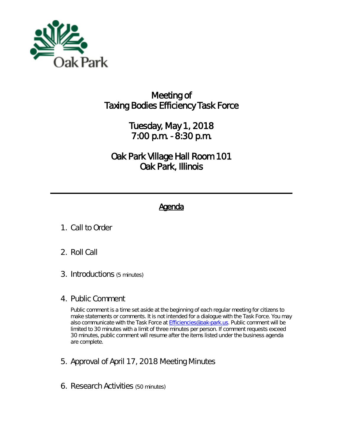

## Meeting of **Taxing Bodies Efficiency Task Force**

Tuesday, May 1, 2018 7:00 p.m. - 8:30 p.m.

Oak Park Village Hall Room 101 Oak Park, Illinois

## **Agenda**

- 1. Call to Order
- 2. Roll Call
- *3.* Introductions *(5 minutes)*
- 4. Public Comment

*Public comment is a time set aside at the beginning of each regular meeting for citizens to make statements or comments. It is not intended for a dialogue with the Task Force. You may also communicate with the Task Force at [Efficiencies@oak-park.us.](mailto:Efficiencies@oak-park.us) Public comment will be limited to 30 minutes with a limit of three minutes per person. If comment requests exceed 30 minutes, public comment will resume after the items listed under the business agenda are complete.*

- *5.* Approval of April 17, 2018 Meeting Minutes
- 6. Research Activities *(50 minutes)*